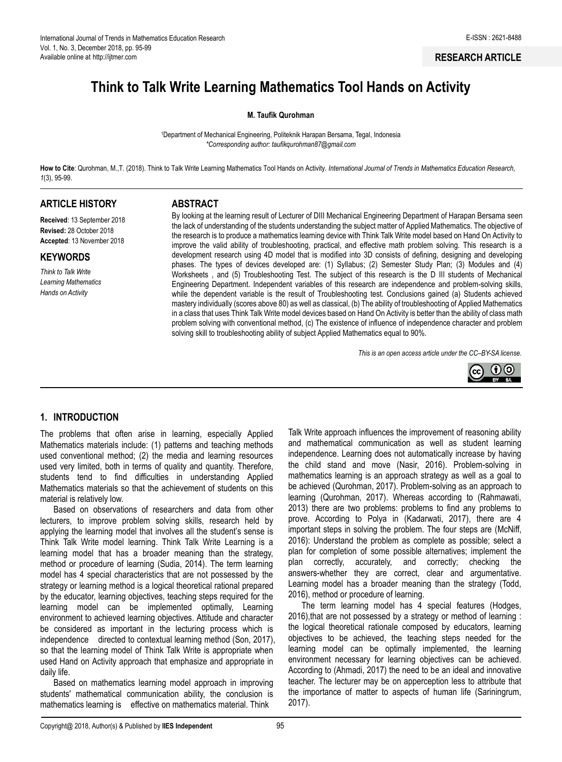**RESEARCH ARTICLE**

# **Think to Talk Write Learning Mathematics Tool Hands on Activity**

#### **M. Taufik Qurohman**

<sup>1</sup>Department of Mechanical Engineering, Politeknik Harapan Bersama, Tegal, Indonesia *\*Corresponding author: [taufikqurohman87@gmail.com](mailto:taufikqurohman87@gmail.com)*

**How to Cite**: Qurohman, M.,T. (2018). Think to Talk Write Learning Mathematics Tool Hands on Activity*. International Journal of Trends in Mathematics Education Research, 1*(3), 95-99.

# **ARTICLE HISTORY**

**Received**: 13 September 2018 **Revised:** 28 October 2018 **Accepted**: 13 November 2018

**KEYWORDS**

*Think to Talk Write Learning Mathematics Hands on Activity*

#### **ABSTRACT**

By looking at the learning result of Lecturer of DIII Mechanical Engineering Department of Harapan Bersama seen the lack of understanding of the students understanding the subject matter of Applied Mathematics. The objective of the research is to produce a mathematics learning device with Think Talk Write model based on Hand On Activity to improve the valid ability of troubleshooting, practical, and effective math problem solving. This research is a development research using 4D model that is modified into 3D consists of defining, designing and developing phases. The types of devices developed are: (1) Syllabus; (2) Semester Study Plan; (3) Modules and (4) Worksheets , and (5) Troubleshooting Test. The subject of this research is the D III students of Mechanical Engineering Department. Independent variables of this research are independence and problem-solving skills, while the dependent variable is the result of Troubleshooting test. Conclusions gained (a) Students achieved mastery individually (scores above 80) as well as classical, (b) The ability of troubleshooting of Applied Mathematics in a class that uses Think Talk Write model devices based on Hand On Activity is better than the ability of class math problem solving with conventional method, (c) The existence of influence of independence character and problem solving skill to troubleshooting ability of subject Applied Mathematics equal to 90%.

*This is an open access article under the CC–[BY-SA](http://creativecommons.org/licenses/by-sa/4.0/) license*.



# **1. INTRODUCTION**

The problems that often arise in learning, especially Applied Mathematics materials include: (1) patterns and teaching methods used conventional method; (2) the media and learning resources used very limited, both in terms of quality and quantity. Therefore, students tend to find difficulties in understanding Applied Mathematics materials so that the achievement of students on this material is relatively low.

Based on observations of researchers and data from other lecturers, to improve problem solving skills, research held by applying the learning model that involves all the student's sense is Think Talk Write model learning. Think Talk Write Learning is a learning model that has a broader meaning than the strategy, method or procedure of learning (Sudia, 2014). The term learning model has 4 special characteristics that are not possessed by the strategy or learning method is a logical theoretical rational prepared by the educator, learning objectives, teaching steps required for the learning model can be implemented optimally, Learning environment to achieved learning objectives. Attitude and character be considered as important in the lecturing process which is independence directed to contextual learning method (Son, 2017), so that the learning model of Think Talk Write is appropriate when used Hand on Activity approach that emphasize and appropriate in daily life.

Based on mathematics learning model approach in improving students' mathematical communication ability, the conclusion is mathematics learning is effective on mathematics material. Think

Talk Write approach influences the improvement of reasoning ability and mathematical communication as well as student learning independence. Learning does not automatically increase by having the child stand and move (Nasir, 2016). Problem-solving in mathematics learning is an approach strategy as well as a goal to be achieved (Qurohman, 2017). Problem-solving as an approach to learning (Qurohman, 2017). Whereas according to (Rahmawati, 2013) there are two problems: problems to find any problems to prove. According to Polya in (Kadarwati, 2017), there are 4 important steps in solving the problem. The four steps are (McNiff, 2016): Understand the problem as complete as possible; select a plan for completion of some possible alternatives; implement the plan correctly, accurately, and correctly; checking the answers-whether they are correct, clear and argumentative. Learning model has a broader meaning than the strategy (Todd, 2016), method or procedure of learning.

The term learning model has 4 special features (Hodges, 2016),that are not possessed by a strategy or method of learning : the logical theoretical rationale composed by educators, learning objectives to be achieved, the teaching steps needed for the learning model can be optimally implemented, the learning environment necessary for learning objectives can be achieved. According to (Ahmadi, 2017) the need to be an ideal and innovative teacher. The lecturer may be on apperception less to attribute that the importance of matter to aspects of human life (Sariningrum, 2017).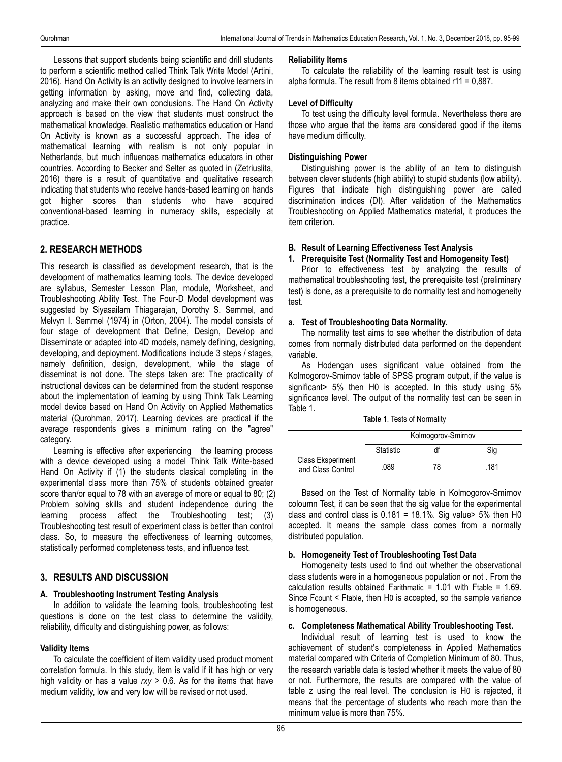Lessons that support students being scientific and drill students to perform a scientific method called Think Talk Write Model (Artini, 2016). Hand On Activity is an activity designed to involve learners in getting information by asking, move and find, collecting data, analyzing and make their own conclusions. The Hand On Activity approach is based on the view that students must construct the mathematical knowledge. Realistic mathematics education or Hand On Activity is known as a successful approach. The idea of mathematical learning with realism is not only popular in Netherlands, but much influences mathematics educators in other countries. According to Becker and Selter as quoted in (Zetriuslita, 2016) there is a result of quantitative and qualitative research indicating that students who receive hands-based learning on hands got higher scores than students who have acquired conventional-based learning in numeracy skills, especially at practice.

# **2. RESEARCH METHODS**

This research is classified as development research, that is the development of mathematics learning tools. The device developed are syllabus, Semester Lesson Plan, module, Worksheet, and Troubleshooting Ability Test. The Four-D Model development was suggested by Siyasailam Thiagarajan, Dorothy S. Semmel, and Melvyn I. Semmel (1974) in (Orton, 2004). The model consists of four stage of development that Define, Design, Develop and Disseminate or adapted into 4D models, namely defining, designing, developing, and deployment. Modifications include 3 steps / stages, namely definition, design, development, while the stage of disseminat is not done. The steps taken are: The practicality of instructional devices can be determined from the student response about the implementation of learning by using Think Talk Learning model device based on Hand On Activity on Applied Mathematics material (Qurohman, 2017). Learning devices are practical if the average respondents gives a minimum rating on the "agree" category.

Learning is effective after experiencing the learning process with a device developed using a model Think Talk Write-based Hand On Activity if (1) the students clasical completing in the experimental class more than 75% of students obtained greater score than/or equal to 78 with an average of more or equal to 80; (2) Problem solving skills and student independence during the learning process affect the Troubleshooting test; (3) Troubleshooting test result of experiment class is better than control class. So, to measure the effectiveness of learning outcomes, statistically performed completeness tests, and influence test.

# **3. RESULTS AND DISCUSSION**

#### **A. Troubleshooting Instrument Testing Analysis**

In addition to validate the learning tools, troubleshooting test questions is done on the test class to determine the validity, reliability, difficulty and distinguishing power, as follows:

#### **Validity Items**

To calculate the coefficient of item validity used product moment correlation formula. In this study, item is valid if it has high or very high validity or has a value *rxy* > 0.6. As for the items that have medium validity, low and very low will be revised or not used.

#### **Reliability Items**

To calculate the reliability of the learning result test is using alpha formula. The result from 8 items obtained r11 = 0,887.

#### **Level of Difficulty**

To test using the difficulty level formula. Nevertheless there are those who argue that the items are considered good if the items have medium difficulty.

# **Distinguishing Power**

Distinguishing power is the ability of an item to distinguish between clever students (high ability) to stupid students (low ability). Figures that indicate high distinguishing power are called discrimination indices (DI). After validation of the Mathematics Troubleshooting on Applied Mathematics material, it produces the item criterion.

# **B. Result of Learning Effectiveness Test Analysis**

#### **1. Prerequisite Test (Normality Test and Homogeneity Test)**

Prior to effectiveness test by analyzing the results of mathematical troubleshooting test, the prerequisite test (preliminary test) is done, as a prerequisite to do normality test and homogeneity test.

#### **a. Test of Troubleshooting Data Normality.**

The normality test aims to see whether the distribution of data comes from normally distributed data performed on the dependent variable.

As Hodengan uses significant value obtained from the Kolmogorov-Smirnov table of SPSS program output, if the value is significant> 5% then H0 is accepted. In this study using 5% significance level. The output of the normality test can be seen in Table 1.

|  |  |  |  | <b>Table 1. Tests of Normality</b> |
|--|--|--|--|------------------------------------|
|--|--|--|--|------------------------------------|

|                                               |           | Kolmogorov-Smirnov |      |
|-----------------------------------------------|-----------|--------------------|------|
|                                               | Statistic |                    |      |
| <b>Class Eksperiment</b><br>and Class Control | .089      | 78                 | .181 |

Based on the Test of Normality table in Kolmogorov-Smirnov coloumn Test, it can be seen that the sig value for the experimental class and control class is  $0.181 = 18.1\%$ . Sig value > 5% then H0 accepted. It means the sample class comes from a normally distributed population.

#### **b. Homogeneity Test of Troubleshooting Test Data**

Homogeneity tests used to find out whether the observational class students were in a homogeneous population or not . From the calculation results obtained Farithmatic = 1.01 with Ftable = 1.69. Since Fcount < Ftable, then H0 is accepted, so the sample variance is homogeneous.

# **c. Completeness Mathematical Ability Troubleshooting Test.**

Individual result of learning test is used to know the achievement of student's completeness in Applied Mathematics material compared with Criteria of Completion Minimum of 80. Thus, the research variable data is tested whether it meets the value of 80 or not. Furthermore, the results are compared with the value of table z using the real level. The conclusion is H0 is rejected, it means that the percentage of students who reach more than the minimum value is more than 75%.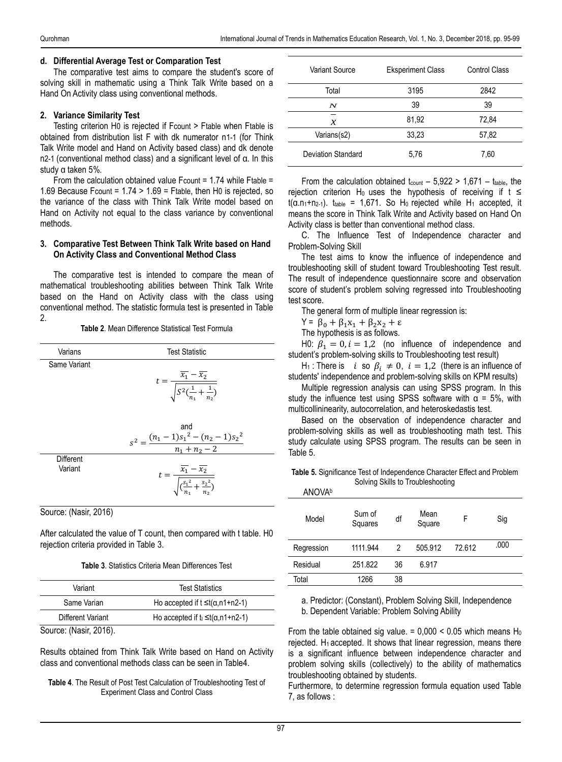## **d. Differential Average Test or Comparation Test**

The comparative test aims to compare the student's score of solving skill in mathematic using a Think Talk Write based on a Hand On Activity class using conventional methods.

# **2. Variance Similarity Test**

Testing criterion H0 is rejected if Fcount > Ftable when Ftable is obtained from distribution list F with dk numerator n1-1 (for Think Talk Write model and Hand on Activity based class) and dk denote n2-1 (conventional method class) and a significant level of α. In this study α taken 5%.

From the calculation obtained value Fcount = 1.74 while Ftable = 1.69 Because Fcount =  $1.74 > 1.69$  = Ftable, then H0 is rejected, so the variance of the class with Think Talk Write model based on Hand on Activity not equal to the class variance by conventional methods.

#### **3. Comparative Test Between Think Talk Write based on Hand On Activity Class and Conventional Method Class**

The comparative test is intended to compare the mean of mathematical troubleshooting abilities between Think Talk Write based on the Hand on Activity class with the class using conventional method. The statistic formula test is presented in Table 2.

#### **Table 2**. Mean Difference Statistical Test Formula

| Varians                     | <b>Test Statistic</b>                                                                          |
|-----------------------------|------------------------------------------------------------------------------------------------|
| Same Variant                | $t = \frac{\overline{x_1} - \overline{x_2}}{\sqrt{S^2(\frac{1}{n_1} + \frac{1}{n_2})}}$        |
|                             | and<br>$s^{2} = \frac{(n_{1} - 1)s_{1}^{2} - (n_{2} - 1)s_{2}^{2}}{n_{1} + n_{2} - 2}$         |
| <b>Different</b><br>Variant | $t = \frac{\overline{x_1} - \overline{x_2}}{\sqrt{\frac{s_1^2}{s_1^2 + \frac{s_2^2}{s_2^2}}}}$ |

Source: (Nasir, 2016)

After calculated the value of T count, then compared with t table. H0 rejection criteria provided in Table 3.

#### **Table 3**. Statistics Criteria Mean Differences Test

| Variant              | <b>Test Statistics</b>                       |
|----------------------|----------------------------------------------|
| Same Varian          | Ho accepted if $t \leq t(\alpha, n1+n2-1)$   |
| Different Variant    | Ho accepted if $t_1 \leq t(\alpha, n1+n2-1)$ |
| Source: (Nasir 2016) |                                              |

Source: (Nasir, 2016).

Results obtained from Think Talk Write based on Hand on Activity class and conventional methods class can be seen in Table4.

**Table 4**. The Result of Post Test Calculation of Troubleshooting Test of Experiment Class and Control Class

| Variant Source            | <b>Eksperiment Class</b> | Control Class |
|---------------------------|--------------------------|---------------|
| Total                     | 3195                     | 2842          |
| N                         | 39                       | 39            |
| х                         | 81,92                    | 72,84         |
| Varians(s2)               | 33,23                    | 57,82         |
| <b>Deviation Standard</b> | 5,76                     | 7,60          |

From the calculation obtained  $t_{\text{count}} - 5.922 > 1.671 - t_{\text{table}}$ , the rejection criterion H<sub>0</sub> uses the hypothesis of receiving if  $t \le$  $t(\alpha.n_1+n_{2-1})$ . t<sub>table</sub> = 1,671. So H<sub>0</sub> rejected while H<sub>1</sub> accepted, it means the score in Think Talk Write and Activity based on Hand On Activity class is better than conventional method class.

C. The Influence Test of Independence character and Problem-Solving Skill

The test aims to know the influence of independence and troubleshooting skill of student toward Troubleshooting Test result. The result of independence questionnaire score and observation score of student's problem solving regressed into Troubleshooting test score.

The general form of multiple linear regression is:

$$
Y = \beta_0 + \beta_1 x_1 + \beta_2 x_2 + \varepsilon
$$

The hypothesis is as follows.

H0:  $\beta_1 = 0$ ,  $i = 1,2$  (no influence of independence and student's problem-solving skills to Troubleshooting test result)

H<sub>1</sub>: There is i so  $\beta_i \neq 0$ ,  $i = 1,2$  (there is an influence of students' independence and problem-solving skills on KPM results)

Multiple regression analysis can using SPSS program. In this study the influence test using SPSS software with  $\alpha = 5\%$ , with multicollininearity, autocorrelation, and heteroskedastis test.

Based on the observation of independence character and problem-solving skills as well as troubleshooting math test. This study calculate using SPSS program. The results can be seen in Table 5.

**Table 5.** Significance Test of Independence Character Effect and Problem Solving Skills to Troubleshooting ANOVA<sup>b</sup>

| <b>AINUVA</b> |                   |    |                |        |      |
|---------------|-------------------|----|----------------|--------|------|
| Model         | Sum of<br>Squares | df | Mean<br>Square | F      | Sig  |
| Regression    | 1111.944          | 2  | 505.912        | 72.612 | .000 |
| Residual      | 251.822           | 36 | 6.917          |        |      |
| Total         | 1266              | 38 |                |        |      |

a. Predictor: (Constant), Problem Solving Skill, Independence b. Dependent Variable: Problem Solving Ability

From the table obtained sig value. =  $0,000 < 0.05$  which means H<sub>0</sub> rejected.  $H_1$  accepted. It shows that linear regression, means there is a significant influence between independence character and problem solving skills (collectively) to the ability of mathematics troubleshooting obtained by students.

Furthermore, to determine regression formula equation used Table 7, as follows :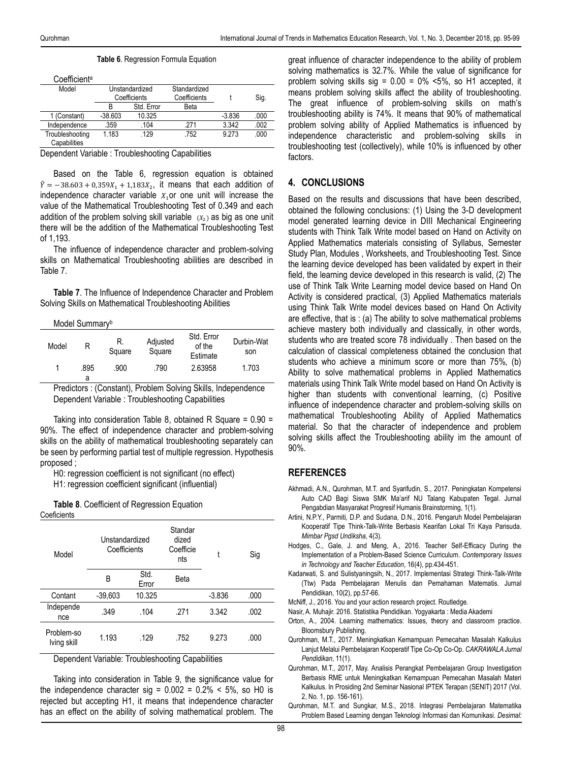| Table 6. Regression Formula Equation |  |  |  |
|--------------------------------------|--|--|--|
|--------------------------------------|--|--|--|

| Coefficient <sup>a</sup>        |                |              |              |          |      |
|---------------------------------|----------------|--------------|--------------|----------|------|
| Model                           | Unstandardized |              | Standardized |          |      |
|                                 |                | Coefficients | Coefficients |          | Sig. |
|                                 | R              | Std. Error   | Beta         |          |      |
| 1 (Constant)                    | $-38.603$      | 10.325       |              | $-3.836$ | .000 |
| Independence                    | .359           | .104         | 271          | 3.342    | .002 |
| Troubleshooting<br>Capabilities | 1.183          | .129         | .752         | 9 2 7 3  | .000 |

Dependent Variable : Troubleshooting Capabilities

Based on the Table 6, regression equation is obtained  $\hat{Y} = -38.603 + 0.359X_1 + 1.183X_2$ , it means that each addition of independence character variable  $X<sub>1</sub>$  or one unit will increase the value of the Mathematical Troubleshooting Test of 0.349 and each addition of the problem solving skill variable  $(x_2)$  as big as one unit there will be the addition of the Mathematical Troubleshooting Test of 1,193.

The influence of independence character and problem-solving skills on Mathematical Troubleshooting abilities are described in Table 7.

**Table 7**. The Influence of Independence Character and Problem Solving Skills on Mathematical Troubleshooting Abilities

#### Model Summary<sup>b</sup>

| Model | R         | R.<br>Square | Adjusted<br>Square | Std. Error<br>of the<br>Estimate | Durbin-Wat<br>son |
|-------|-----------|--------------|--------------------|----------------------------------|-------------------|
|       | .895<br>а | .900         | .790               | 2.63958                          | 1.703             |

Predictors : (Constant), Problem Solving Skills, Independence Dependent Variable : Troubleshooting Capabilities

Taking into consideration Table 8, obtained R Square = 0.90 = 90%. The effect of independence character and problem-solving skills on the ability of mathematical troubleshooting separately can be seen by performing partial test of multiple regression. Hypothesis proposed ;

H0: regression coefficient is not significant (no effect) H1: regression coefficient significant (influential)

**Table 8**. Coefficient of Regression Equation

| Coeficients |  |  |
|-------------|--|--|
|             |  |  |

| Model                     | Unstandardized<br>Coefficients |               | Standar<br>dized<br>Coefficie<br>nts | t        | Sig  |
|---------------------------|--------------------------------|---------------|--------------------------------------|----------|------|
|                           | B                              | Std.<br>Error | Beta                                 |          |      |
| Contant                   | $-39,603$                      | 10.325        |                                      | $-3.836$ | .000 |
| Independe<br>nce          | .349                           | .104          | .271                                 | 3.342    | .002 |
| Problem-so<br>Iving skill | 1.193                          | .129          | .752                                 | 9.273    | .000 |

Dependent Variable: Troubleshooting Capabilities

Taking into consideration in Table 9, the significance value for the independence character sig =  $0.002 = 0.2\%$  < 5%, so H0 is rejected but accepting H1, it means that independence character has an effect on the ability of solving mathematical problem. The

great influence of character independence to the ability of problem solving mathematics is 32.7%. While the value of significance for problem solving skills sig =  $0.00 = 0\%$  <5%, so H1 accepted, it means problem solving skills affect the ability of troubleshooting. The great influence of problem-solving skills on math's troubleshooting ability is 74%. It means that 90% of mathematical problem solving ability of Applied Mathematics is influenced by independence characteristic and problem-solving skills in troubleshooting test (collectively), while 10% is influenced by other factors.

## **4. CONCLUSIONS**

Based on the results and discussions that have been described, obtained the following conclusions: (1) Using the 3-D development model generated learning device in DIII Mechanical Engineering students with Think Talk Write model based on Hand on Activity on Applied Mathematics materials consisting of Syllabus, Semester Study Plan, Modules , Worksheets, and Troubleshooting Test. Since the learning device developed has been validated by expert in their field, the learning device developed in this research is valid, (2) The use of Think Talk Write Learning model device based on Hand On Activity is considered practical, (3) Applied Mathematics materials using Think Talk Write model devices based on Hand On Activity are effective, that is : (a) The ability to solve mathematical problems achieve mastery both individually and classically, in other words, students who are treated score 78 individually . Then based on the calculation of classical completeness obtained the conclusion that students who achieve a minimum score or more than 75%, (b) Ability to solve mathematical problems in Applied Mathematics materials using Think Talk Write model based on Hand On Activity is higher than students with conventional learning, (c) Positive influence of independence character and problem-solving skills on mathematical Troubleshooting Ability of Applied Mathematics material. So that the character of independence and problem solving skills affect the Troubleshooting ability im the amount of 90%.

## **REFERENCES**

- Akhmadi, A.N., Qurohman, M.T. and Syarifudin, S., 2017. Peningkatan Kompetensi Auto CAD Bagi Siswa SMK Ma'arif NU Talang Kabupaten Tegal. Jurnal Pengabdian Masyarakat Progresif Humanis Brainstorming, 1(1).
- Artini, N.P.Y., Parmiti, D.P. and Sudana, D.N., 2016. Pengaruh Model Pembelajaran Kooperatif Tipe Think-Talk-Write Berbasis Kearifan Lokal Tri Kaya Parisuda. *Mimbar Pgsd Undiksha*, 4(3).
- Hodges, C., Gale, J. and Meng, A., 2016. Teacher Self-Efficacy During the Implementation of a Problem-Based Science Curriculum. *Contemporary Issues in Technology and Teacher Education*, 16(4), pp.434-451.
- Kadarwati, S. and Sulistyaningsih, N., 2017. Implementasi Strategi Think-Talk-Write (Ttw) Pada Pembelajaran Menulis dan Pemahaman Matematis. Jurnal Pendidikan, 10(2), pp.57-66.
- McNiff, J., 2016. You and your action research project. Routledge.
- Nasir, A. Muhajir. 2016. Statistika Pendidikan. Yogyakarta : Media Akademi
- Orton, A., 2004. Learning mathematics: Issues, theory and classroom practice. Bloomsbury Publishing.
- Qurohman, M.T., 2017. Meningkatkan Kemampuan Pemecahan Masalah Kalkulus Lanjut Melalui Pembelajaran Kooperatif Tipe Co-Op Co-Op. *CAKRAWALA Jurnal Pendidikan*, 11(1).
- Qurohman, M.T., 2017, May. Analisis Perangkat Pembelajaran Group Investigation Berbasis RME untuk Meningkatkan Kemampuan Pemecahan Masalah Materi Kalkulus. In Prosiding 2nd Seminar Nasional IPTEK Terapan (SENIT) 2017 (Vol. 2, No. 1, pp. 156-161).
- Qurohman, M.T. and Sungkar, M.S., 2018. Integrasi Pembelajaran Matematika Problem Based Learning dengan Teknologi Informasi dan Komunikasi. *Desimal:*